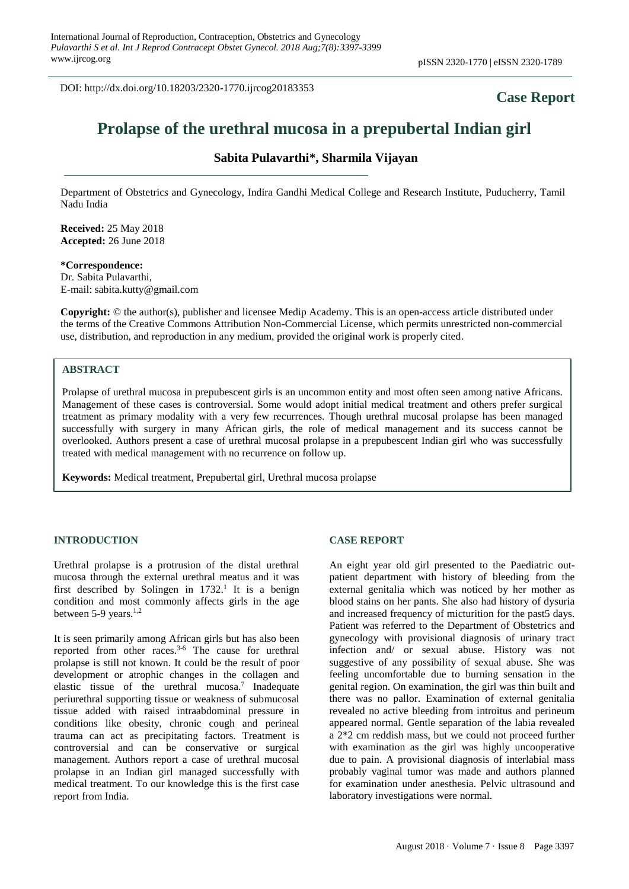DOI: http://dx.doi.org/10.18203/2320-1770.ijrcog20183353

## **Case Report**

# **Prolapse of the urethral mucosa in a prepubertal Indian girl**

### **Sabita Pulavarthi\*, Sharmila Vijayan**

Department of Obstetrics and Gynecology, Indira Gandhi Medical College and Research Institute, Puducherry, Tamil Nadu India

**Received:** 25 May 2018 **Accepted:** 26 June 2018

**\*Correspondence:** Dr. Sabita Pulavarthi, E-mail: sabita.kutty@gmail.com

**Copyright:** © the author(s), publisher and licensee Medip Academy. This is an open-access article distributed under the terms of the Creative Commons Attribution Non-Commercial License, which permits unrestricted non-commercial use, distribution, and reproduction in any medium, provided the original work is properly cited.

#### **ABSTRACT**

Prolapse of urethral mucosa in prepubescent girls is an uncommon entity and most often seen among native Africans. Management of these cases is controversial. Some would adopt initial medical treatment and others prefer surgical treatment as primary modality with a very few recurrences. Though urethral mucosal prolapse has been managed successfully with surgery in many African girls, the role of medical management and its success cannot be overlooked. Authors present a case of urethral mucosal prolapse in a prepubescent Indian girl who was successfully treated with medical management with no recurrence on follow up.

**Keywords:** Medical treatment, Prepubertal girl, Urethral mucosa prolapse

#### **INTRODUCTION**

Urethral prolapse is a protrusion of the distal urethral mucosa through the external urethral meatus and it was first described by Solingen in  $1732$ .<sup>1</sup> It is a benign condition and most commonly affects girls in the age between 5-9 years.<sup>1,2</sup>

It is seen primarily among African girls but has also been reported from other races. 3-6 The cause for urethral prolapse is still not known. It could be the result of poor development or atrophic changes in the collagen and elastic tissue of the urethral mucosa.<sup>7</sup> Inadequate periurethral supporting tissue or weakness of submucosal tissue added with raised intraabdominal pressure in conditions like obesity, chronic cough and perineal trauma can act as precipitating factors. Treatment is controversial and can be conservative or surgical management. Authors report a case of urethral mucosal prolapse in an Indian girl managed successfully with medical treatment. To our knowledge this is the first case report from India.

#### **CASE REPORT**

An eight year old girl presented to the Paediatric outpatient department with history of bleeding from the external genitalia which was noticed by her mother as blood stains on her pants. She also had history of dysuria and increased frequency of micturition for the past5 days. Patient was referred to the Department of Obstetrics and gynecology with provisional diagnosis of urinary tract infection and/ or sexual abuse. History was not suggestive of any possibility of sexual abuse. She was feeling uncomfortable due to burning sensation in the genital region. On examination, the girl was thin built and there was no pallor. Examination of external genitalia revealed no active bleeding from introitus and perineum appeared normal. Gentle separation of the labia revealed a 2\*2 cm reddish mass, but we could not proceed further with examination as the girl was highly uncooperative due to pain. A provisional diagnosis of interlabial mass probably vaginal tumor was made and authors planned for examination under anesthesia. Pelvic ultrasound and laboratory investigations were normal.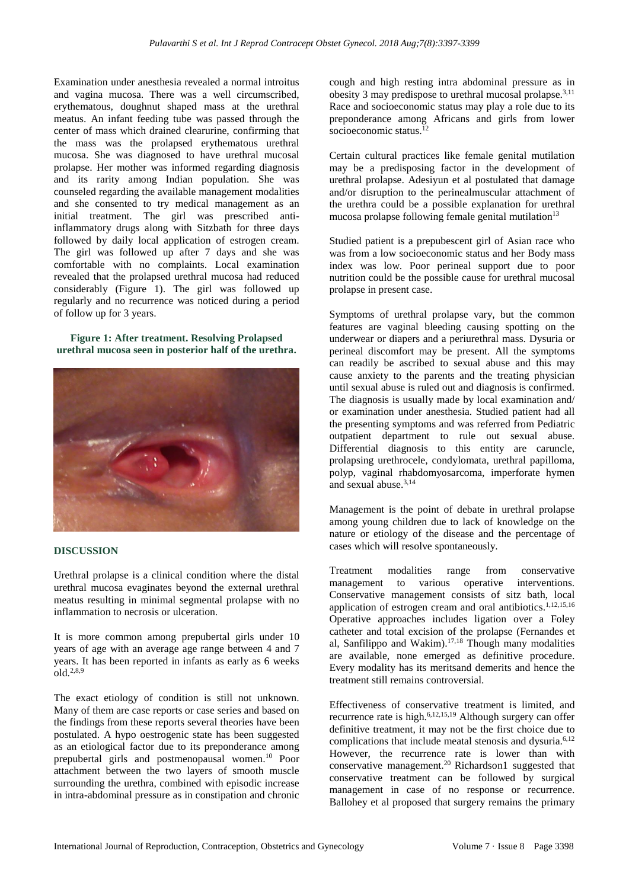Examination under anesthesia revealed a normal introitus and vagina mucosa. There was a well circumscribed, erythematous, doughnut shaped mass at the urethral meatus. An infant feeding tube was passed through the center of mass which drained clearurine, confirming that the mass was the prolapsed erythematous urethral mucosa. She was diagnosed to have urethral mucosal prolapse. Her mother was informed regarding diagnosis and its rarity among Indian population. She was counseled regarding the available management modalities and she consented to try medical management as an initial treatment. The girl was prescribed antiinflammatory drugs along with Sitzbath for three days followed by daily local application of estrogen cream. The girl was followed up after 7 days and she was comfortable with no complaints. Local examination revealed that the prolapsed urethral mucosa had reduced considerably (Figure 1). The girl was followed up regularly and no recurrence was noticed during a period of follow up for 3 years.

**Figure 1: After treatment. Resolving Prolapsed urethral mucosa seen in posterior half of the urethra.**



#### **DISCUSSION**

Urethral prolapse is a clinical condition where the distal urethral mucosa evaginates beyond the external urethral meatus resulting in minimal segmental prolapse with no inflammation to necrosis or ulceration.

It is more common among prepubertal girls under 10 years of age with an average age range between 4 and 7 years. It has been reported in infants as early as 6 weeks old. 2,8,9

The exact etiology of condition is still not unknown. Many of them are case reports or case series and based on the findings from these reports several theories have been postulated. A hypo oestrogenic state has been suggested as an etiological factor due to its preponderance among prepubertal girls and postmenopausal women. <sup>10</sup> Poor attachment between the two layers of smooth muscle surrounding the urethra, combined with episodic increase in intra-abdominal pressure as in constipation and chronic cough and high resting intra abdominal pressure as in obesity 3 may predispose to urethral mucosal prolapse.3,11 Race and socioeconomic status may play a role due to its preponderance among Africans and girls from lower socioeconomic status. 12

Certain cultural practices like female genital mutilation may be a predisposing factor in the development of urethral prolapse. Adesiyun et al postulated that damage and/or disruption to the perinealmuscular attachment of the urethra could be a possible explanation for urethral mucosa prolapse following female genital mutilation $13$ 

Studied patient is a prepubescent girl of Asian race who was from a low socioeconomic status and her Body mass index was low. Poor perineal support due to poor nutrition could be the possible cause for urethral mucosal prolapse in present case.

Symptoms of urethral prolapse vary, but the common features are vaginal bleeding causing spotting on the underwear or diapers and a periurethral mass. Dysuria or perineal discomfort may be present. All the symptoms can readily be ascribed to sexual abuse and this may cause anxiety to the parents and the treating physician until sexual abuse is ruled out and diagnosis is confirmed. The diagnosis is usually made by local examination and/ or examination under anesthesia. Studied patient had all the presenting symptoms and was referred from Pediatric outpatient department to rule out sexual abuse. Differential diagnosis to this entity are caruncle, prolapsing urethrocele, condylomata, urethral papilloma, polyp, vaginal rhabdomyosarcoma, imperforate hymen and sexual abuse. 3,14

Management is the point of debate in urethral prolapse among young children due to lack of knowledge on the nature or etiology of the disease and the percentage of cases which will resolve spontaneously.

Treatment modalities range from conservative management to various operative interventions. Conservative management consists of sitz bath, local application of estrogen cream and oral antibiotics. 1,12,15,16 Operative approaches includes ligation over a Foley catheter and total excision of the prolapse (Fernandes et al, Sanfilippo and Wakim).<sup>17,18</sup> Though many modalities are available, none emerged as definitive procedure. Every modality has its meritsand demerits and hence the treatment still remains controversial.

Effectiveness of conservative treatment is limited, and recurrence rate is high.<sup>6,12,15,19</sup> Although surgery can offer definitive treatment, it may not be the first choice due to complications that include meatal stenosis and dysuria. 6,12 However, the recurrence rate is lower than with conservative management. <sup>20</sup> Richardson1 suggested that conservative treatment can be followed by surgical management in case of no response or recurrence. Ballohey et al proposed that surgery remains the primary